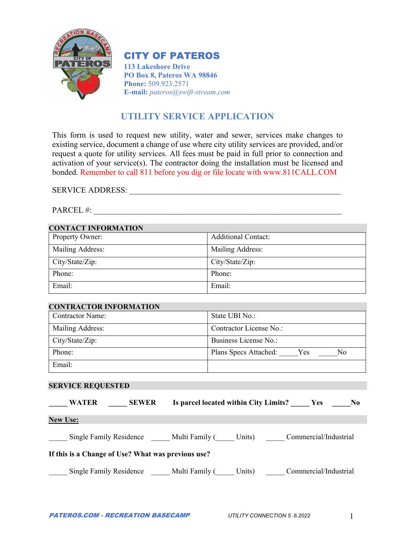

## CITY OF PATEROS

**113 Lakeshore Drive PO Box 8, Pateros WA 98846 Phone:** 509.923.2571 **E-mail:** *pateros@swift-stream.com*

# **UTILITY SERVICE APPLICATION**

This form is used to request new utility, water and sewer, services make changes to existing service, document a change of use where city utility services are provided, and/or request a quote for utility services. All fees must be paid in full prior to connection and activation of your service(s). The contractor doing the installation must be licensed and bonded. Remember to call 811 before you dig or file locate with www.811CALL.COM

SERVICE ADDRESS: \_\_\_\_\_\_\_\_\_\_\_\_\_\_\_\_\_\_\_\_\_\_\_\_\_\_\_\_\_\_\_\_\_\_\_\_\_\_\_\_\_\_\_\_\_\_\_\_\_\_\_\_

PARCEL #:

## **CONTACT INFORMATION**

| $\sim$           |                            |
|------------------|----------------------------|
| Property Owner:  | <b>Additional Contact:</b> |
| Mailing Address: | Mailing Address:           |
| City/State/Zip:  | City/State/Zip:            |
| Phone:           | Phone:                     |
| Email:           | Email:                     |

### **CONTRACTOR INFORMATION**

| <b>Contractor Name:</b> | State UBI No.:                     |
|-------------------------|------------------------------------|
| Mailing Address:        | Contractor License No.:            |
| City/State/Zip:         | Business License No.:              |
| Phone:                  | Plans Specs Attached:<br>Yes<br>No |
| Email:                  |                                    |

### **SERVICE REQUESTED**

| <b>WATER</b>    | <b>SEWER</b>                                       | Is parcel located within City Limits? Yes     |        |                       | N <sub>0</sub> |
|-----------------|----------------------------------------------------|-----------------------------------------------|--------|-----------------------|----------------|
| <b>New Use:</b> |                                                    |                                               |        |                       |                |
|                 | If this is a Change of Use? What was previous use? | Single Family Residence Multi Family ( Units) |        | Commercial/Industrial |                |
|                 | Single Family Residence                            | Multi Family (                                | Units) | Commercial/Industrial |                |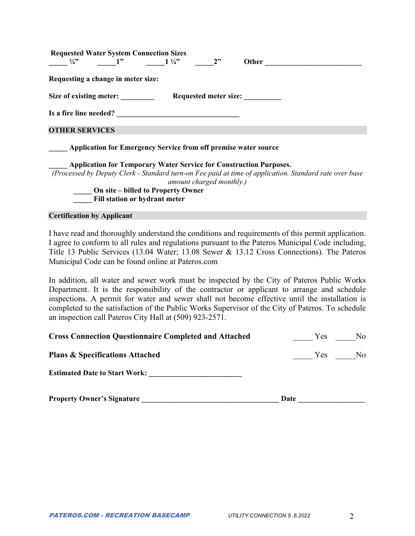| <b>Requested Water System Connection Sizes</b> |    |                                                                        |    |                                                                           |  |
|------------------------------------------------|----|------------------------------------------------------------------------|----|---------------------------------------------------------------------------|--|
| $\frac{3}{4}$ ?                                | 1" | $1\frac{1}{4}$                                                         | 2" | Other                                                                     |  |
| Requesting a change in meter size:             |    |                                                                        |    |                                                                           |  |
| Size of existing meter:                        |    |                                                                        |    | Requested meter size:                                                     |  |
| Is a fire line needed?                         |    |                                                                        |    |                                                                           |  |
| <b>OTHER SERVICES</b>                          |    |                                                                        |    |                                                                           |  |
|                                                |    | <b>Application for Emergency Service from off premise water source</b> |    |                                                                           |  |
|                                                |    |                                                                        |    | <b>Application for Temporary Water Service for Construction Purposes.</b> |  |

*(Processed by Deputy Clerk - Standard turn-on Fee paid at time of application. Standard rate over base amount charged monthly.)* 

> **On site – billed to Property Owner \_\_\_\_\_ Fill station or hydrant meter**

**Certification by Applicant** 

I have read and thoroughly understand the conditions and requirements of this permit application. I agree to conform to all rules and regulations pursuant to the Pateros Municipal Code including, Title 13 Public Services (13.04 Water; 13.08 Sewer & 13.12 Cross Connections). The Pateros Municipal Code can be found online at Pateros.com

In addition, all water and sewer work must be inspected by the City of Pateros Public Works Department. It is the responsibility of the contractor or applicant to arrange and schedule inspections. A permit for water and sewer shall not become effective until the installation is completed to the satisfaction of the Public Works Supervisor of the City of Pateros. To schedule an inspection call Pateros City Hall at (509) 923-2571.

| <b>Cross Connection Questionnaire Completed and Attached</b> | No.<br><b>Yes</b> |
|--------------------------------------------------------------|-------------------|
| <b>Plans &amp; Specifications Attached</b>                   | No.<br>Yes.       |
| <b>Estimated Date to Start Work:</b>                         |                   |
| <b>Property Owner's Signature</b>                            | Date              |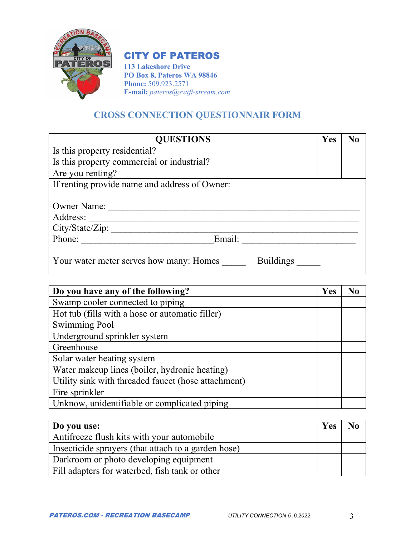

# CITY OF PATEROS

**113 Lakeshore Drive PO Box 8, Pateros WA 98846 Phone:** 509.923.2571 **E-mail:** *pateros@swift-stream.com*

# **CROSS CONNECTION QUESTIONNAIR FORM**

| <b>QUESTIONS</b>                                            | Yes | No |
|-------------------------------------------------------------|-----|----|
| Is this property residential?                               |     |    |
| Is this property commercial or industrial?                  |     |    |
| Are you renting?                                            |     |    |
| If renting provide name and address of Owner:               |     |    |
|                                                             |     |    |
| <b>Owner Name:</b>                                          |     |    |
| Address:                                                    |     |    |
| City/State/Zip:                                             |     |    |
| Phone:<br>Email:                                            |     |    |
|                                                             |     |    |
| <b>Buildings</b><br>Your water meter serves how many: Homes |     |    |

| Do you have any of the following?                   | Yes | No |
|-----------------------------------------------------|-----|----|
| Swamp cooler connected to piping                    |     |    |
| Hot tub (fills with a hose or automatic filler)     |     |    |
| <b>Swimming Pool</b>                                |     |    |
| Underground sprinkler system                        |     |    |
| Greenhouse                                          |     |    |
| Solar water heating system                          |     |    |
| Water makeup lines (boiler, hydronic heating)       |     |    |
| Utility sink with threaded faucet (hose attachment) |     |    |
| Fire sprinkler                                      |     |    |
| Unknow, unidentifiable or complicated piping        |     |    |

| Do you use:                                         | <b>Yes</b> |  |
|-----------------------------------------------------|------------|--|
| Antifreeze flush kits with your automobile          |            |  |
| Insecticide sprayers (that attach to a garden hose) |            |  |
| Darkroom or photo developing equipment              |            |  |
| Fill adapters for waterbed, fish tank or other      |            |  |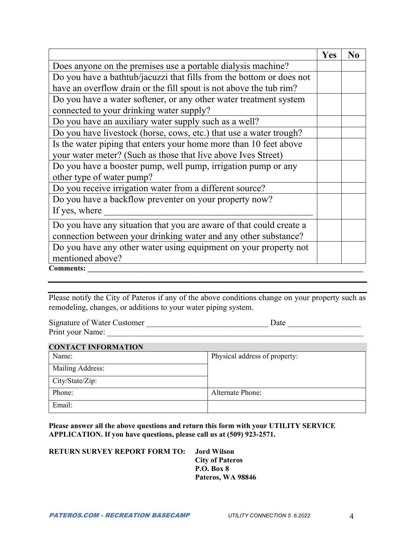|                                                                      | Yes | N <sub>0</sub> |
|----------------------------------------------------------------------|-----|----------------|
| Does anyone on the premises use a portable dialysis machine?         |     |                |
| Do you have a bathtub/jacuzzi that fills from the bottom or does not |     |                |
| have an overflow drain or the fill spout is not above the tub rim?   |     |                |
| Do you have a water softener, or any other water treatment system    |     |                |
| connected to your drinking water supply?                             |     |                |
| Do you have an auxiliary water supply such as a well?                |     |                |
| Do you have livestock (horse, cows, etc.) that use a water trough?   |     |                |
| Is the water piping that enters your home more than 10 feet above    |     |                |
| your water meter? (Such as those that live above Ives Street)        |     |                |
| Do you have a booster pump, well pump, irrigation pump or any        |     |                |
| other type of water pump?                                            |     |                |
| Do you receive irrigation water from a different source?             |     |                |
| Do you have a backflow preventer on your property now?               |     |                |
| If yes, where                                                        |     |                |
| Do you have any situation that you are aware of that could create a  |     |                |
| connection between your drinking water and any other substance?      |     |                |
| Do you have any other water using equipment on your property not     |     |                |
| mentioned above?                                                     |     |                |
| <b>Comments:</b>                                                     |     |                |

Please notify the City of Pateros if any of the above conditions change on your property such as remodeling, changes, or additions to your water piping system.

| Signature of Water Customer | Date |
|-----------------------------|------|
| Print your Name:            |      |

| <b>CONTACT INFORMATION</b> |                               |
|----------------------------|-------------------------------|
| Name:                      | Physical address of property: |
| Mailing Address:           |                               |
| City/State/Zip:            |                               |
| Phone:                     | Alternate Phone:              |
| Email:                     |                               |

**Please answer all the above questions and return this form with your UTILITY SERVICE APPLICATION. If you have questions, please call us at (509) 923-2571.** 

| <b>RETURN SURVEY REPORT FORM TO:</b> |  |
|--------------------------------------|--|
|                                      |  |

rd Wilson **City of Pateros P.O. Box 8 Pateros, WA 98846**